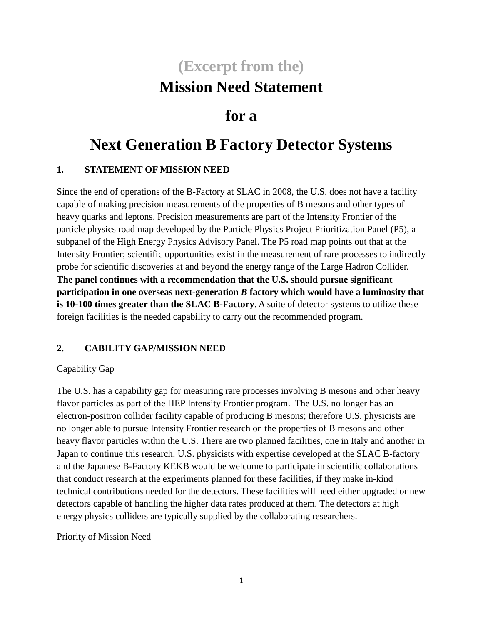# **(Excerpt from the) Mission Need Statement**

## **for a**

# **Next Generation B Factory Detector Systems**

#### **1. STATEMENT OF MISSION NEED**

Since the end of operations of the B-Factory at SLAC in 2008, the U.S. does not have a facility capable of making precision measurements of the properties of B mesons and other types of heavy quarks and leptons. Precision measurements are part of the Intensity Frontier of the particle physics road map developed by the Particle Physics Project Prioritization Panel (P5), a subpanel of the High Energy Physics Advisory Panel. The P5 road map points out that at the Intensity Frontier; scientific opportunities exist in the measurement of rare processes to indirectly probe for scientific discoveries at and beyond the energy range of the Large Hadron Collider. **The panel continues with a recommendation that the U.S. should pursue significant participation in one overseas next-generation** *B* **factory which would have a luminosity that is 10-100 times greater than the SLAC B-Factory**. A suite of detector systems to utilize these foreign facilities is the needed capability to carry out the recommended program.

### **2. CABILITY GAP/MISSION NEED**

#### Capability Gap

The U.S. has a capability gap for measuring rare processes involving B mesons and other heavy flavor particles as part of the HEP Intensity Frontier program. The U.S. no longer has an electron-positron collider facility capable of producing B mesons; therefore U.S. physicists are no longer able to pursue Intensity Frontier research on the properties of B mesons and other heavy flavor particles within the U.S. There are two planned facilities, one in Italy and another in Japan to continue this research. U.S. physicists with expertise developed at the SLAC B-factory and the Japanese B-Factory KEKB would be welcome to participate in scientific collaborations that conduct research at the experiments planned for these facilities, if they make in-kind technical contributions needed for the detectors. These facilities will need either upgraded or new detectors capable of handling the higher data rates produced at them. The detectors at high energy physics colliders are typically supplied by the collaborating researchers.

#### Priority of Mission Need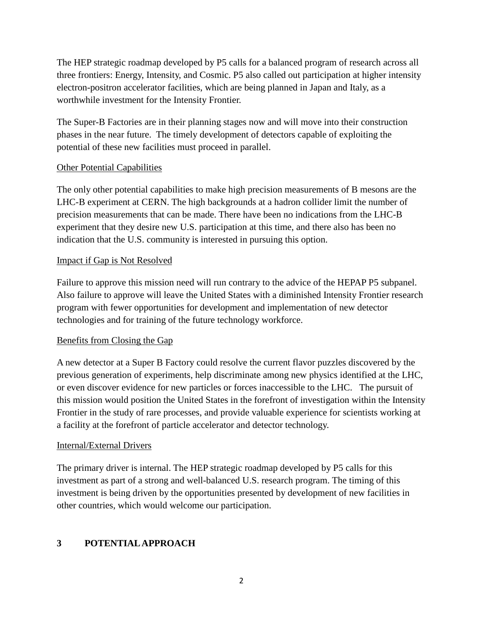The HEP strategic roadmap developed by P5 calls for a balanced program of research across all three frontiers: Energy, Intensity, and Cosmic. P5 also called out participation at higher intensity electron-positron accelerator facilities, which are being planned in Japan and Italy, as a worthwhile investment for the Intensity Frontier.

The Super-B Factories are in their planning stages now and will move into their construction phases in the near future. The timely development of detectors capable of exploiting the potential of these new facilities must proceed in parallel.

#### Other Potential Capabilities

The only other potential capabilities to make high precision measurements of B mesons are the LHC-B experiment at CERN. The high backgrounds at a hadron collider limit the number of precision measurements that can be made. There have been no indications from the LHC-B experiment that they desire new U.S. participation at this time, and there also has been no indication that the U.S. community is interested in pursuing this option.

#### Impact if Gap is Not Resolved

Failure to approve this mission need will run contrary to the advice of the HEPAP P5 subpanel. Also failure to approve will leave the United States with a diminished Intensity Frontier research program with fewer opportunities for development and implementation of new detector technologies and for training of the future technology workforce.

#### Benefits from Closing the Gap

A new detector at a Super B Factory could resolve the current flavor puzzles discovered by the previous generation of experiments, help discriminate among new physics identified at the LHC, or even discover evidence for new particles or forces inaccessible to the LHC. The pursuit of this mission would position the United States in the forefront of investigation within the Intensity Frontier in the study of rare processes, and provide valuable experience for scientists working at a facility at the forefront of particle accelerator and detector technology.

#### Internal/External Drivers

The primary driver is internal. The HEP strategic roadmap developed by P5 calls for this investment as part of a strong and well-balanced U.S. research program. The timing of this investment is being driven by the opportunities presented by development of new facilities in other countries, which would welcome our participation.

### **3 POTENTIAL APPROACH**